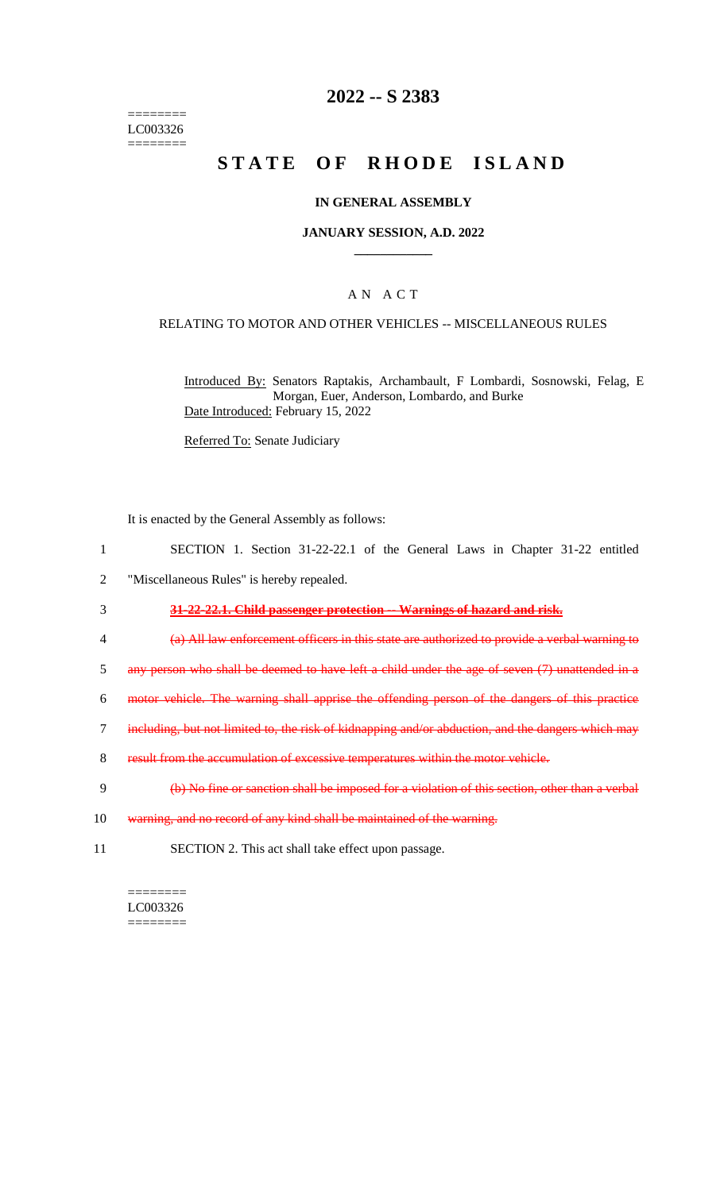======== LC003326 ========

### **2022 -- S 2383**

# STATE OF RHODE ISLAND

#### **IN GENERAL ASSEMBLY**

#### **JANUARY SESSION, A.D. 2022 \_\_\_\_\_\_\_\_\_\_\_\_**

### A N A C T

#### RELATING TO MOTOR AND OTHER VEHICLES -- MISCELLANEOUS RULES

Introduced By: Senators Raptakis, Archambault, F Lombardi, Sosnowski, Felag, E Morgan, Euer, Anderson, Lombardo, and Burke Date Introduced: February 15, 2022

Referred To: Senate Judiciary

It is enacted by the General Assembly as follows:

- 1 SECTION 1. Section 31-22-22.1 of the General Laws in Chapter 31-22 entitled
- 2 "Miscellaneous Rules" is hereby repealed.

# 3 **31-22-22.1. Child passenger protection -- Warnings of hazard and risk.**

- 4 (a) All law enforcement officers in this state are authorized to provide a verbal warning to
- 5 any person who shall be deemed to have left a child under the age of seven (7) unattended in a
- 6 motor vehicle. The warning shall apprise the offending person of the dangers of this practice
- 7 including, but not limited to, the risk of kidnapping and/or abduction, and the dangers which may
- 8 result from the accumulation of excessive temperatures within the motor vehicle.
- 9 (b) No fine or sanction shall be imposed for a violation of this section, other than a verbal
- 10 warning, and no record of any kind shall be maintained of the warning.
- 11 SECTION 2. This act shall take effect upon passage.

======== LC003326  $=$